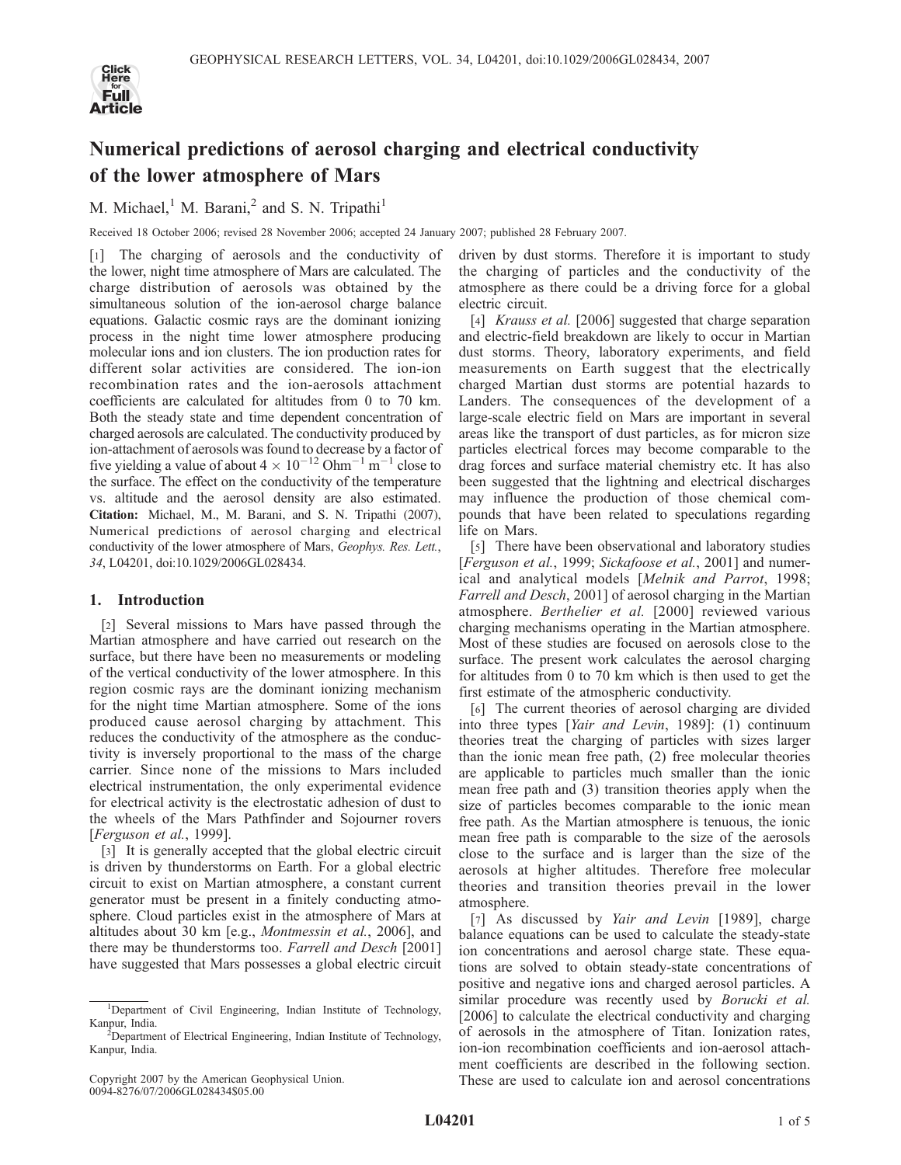

# Numerical predictions of aerosol charging and electrical conductivity of the lower atmosphere of Mars

M. Michael, $<sup>1</sup>$  M. Barani, $<sup>2</sup>$  and S. N. Tripathi<sup>1</sup></sup></sup>

Received 18 October 2006; revised 28 November 2006; accepted 24 January 2007; published 28 February 2007.

[1] The charging of aerosols and the conductivity of the lower, night time atmosphere of Mars are calculated. The charge distribution of aerosols was obtained by the simultaneous solution of the ion-aerosol charge balance equations. Galactic cosmic rays are the dominant ionizing process in the night time lower atmosphere producing molecular ions and ion clusters. The ion production rates for different solar activities are considered. The ion-ion recombination rates and the ion-aerosols attachment coefficients are calculated for altitudes from 0 to 70 km. Both the steady state and time dependent concentration of charged aerosols are calculated. The conductivity produced by ion-attachment of aerosols was found to decrease by a factor of five yielding a value of about  $4 \times 10^{-12}$  Ohm<sup>-1</sup> m<sup>-1</sup> close to the surface. The effect on the conductivity of the temperature vs. altitude and the aerosol density are also estimated. Citation: Michael, M., M. Barani, and S. N. Tripathi (2007), Numerical predictions of aerosol charging and electrical conductivity of the lower atmosphere of Mars, Geophys. Res. Lett., 34, L04201, doi:10.1029/2006GL028434.

# 1. Introduction

[2] Several missions to Mars have passed through the Martian atmosphere and have carried out research on the surface, but there have been no measurements or modeling of the vertical conductivity of the lower atmosphere. In this region cosmic rays are the dominant ionizing mechanism for the night time Martian atmosphere. Some of the ions produced cause aerosol charging by attachment. This reduces the conductivity of the atmosphere as the conductivity is inversely proportional to the mass of the charge carrier. Since none of the missions to Mars included electrical instrumentation, the only experimental evidence for electrical activity is the electrostatic adhesion of dust to the wheels of the Mars Pathfinder and Sojourner rovers [Ferguson et al., 1999].

[3] It is generally accepted that the global electric circuit is driven by thunderstorms on Earth. For a global electric circuit to exist on Martian atmosphere, a constant current generator must be present in a finitely conducting atmosphere. Cloud particles exist in the atmosphere of Mars at altitudes about 30 km [e.g., Montmessin et al., 2006], and there may be thunderstorms too. Farrell and Desch [2001] have suggested that Mars possesses a global electric circuit

driven by dust storms. Therefore it is important to study the charging of particles and the conductivity of the atmosphere as there could be a driving force for a global electric circuit.

[4] *Krauss et al.* [2006] suggested that charge separation and electric-field breakdown are likely to occur in Martian dust storms. Theory, laboratory experiments, and field measurements on Earth suggest that the electrically charged Martian dust storms are potential hazards to Landers. The consequences of the development of a large-scale electric field on Mars are important in several areas like the transport of dust particles, as for micron size particles electrical forces may become comparable to the drag forces and surface material chemistry etc. It has also been suggested that the lightning and electrical discharges may influence the production of those chemical compounds that have been related to speculations regarding life on Mars.

[5] There have been observational and laboratory studies [Ferguson et al., 1999; Sickafoose et al., 2001] and numerical and analytical models [Melnik and Parrot, 1998; Farrell and Desch, 2001] of aerosol charging in the Martian atmosphere. Berthelier et al. [2000] reviewed various charging mechanisms operating in the Martian atmosphere. Most of these studies are focused on aerosols close to the surface. The present work calculates the aerosol charging for altitudes from 0 to 70 km which is then used to get the first estimate of the atmospheric conductivity.

[6] The current theories of aerosol charging are divided into three types [*Yair and Levin*, 1989]: (1) continuum theories treat the charging of particles with sizes larger than the ionic mean free path, (2) free molecular theories are applicable to particles much smaller than the ionic mean free path and (3) transition theories apply when the size of particles becomes comparable to the ionic mean free path. As the Martian atmosphere is tenuous, the ionic mean free path is comparable to the size of the aerosols close to the surface and is larger than the size of the aerosols at higher altitudes. Therefore free molecular theories and transition theories prevail in the lower atmosphere.

[7] As discussed by *Yair and Levin* [1989], charge balance equations can be used to calculate the steady-state ion concentrations and aerosol charge state. These equations are solved to obtain steady-state concentrations of positive and negative ions and charged aerosol particles. A similar procedure was recently used by Borucki et al. [2006] to calculate the electrical conductivity and charging of aerosols in the atmosphere of Titan. Ionization rates, ion-ion recombination coefficients and ion-aerosol attachment coefficients are described in the following section. These are used to calculate ion and aerosol concentrations

<sup>&</sup>lt;sup>1</sup>Department of Civil Engineering, Indian Institute of Technology, Kanpur, India.

 $\overline{D}$  Department of Electrical Engineering, Indian Institute of Technology, Kanpur, India.

Copyright 2007 by the American Geophysical Union. 0094-8276/07/2006GL028434\$05.00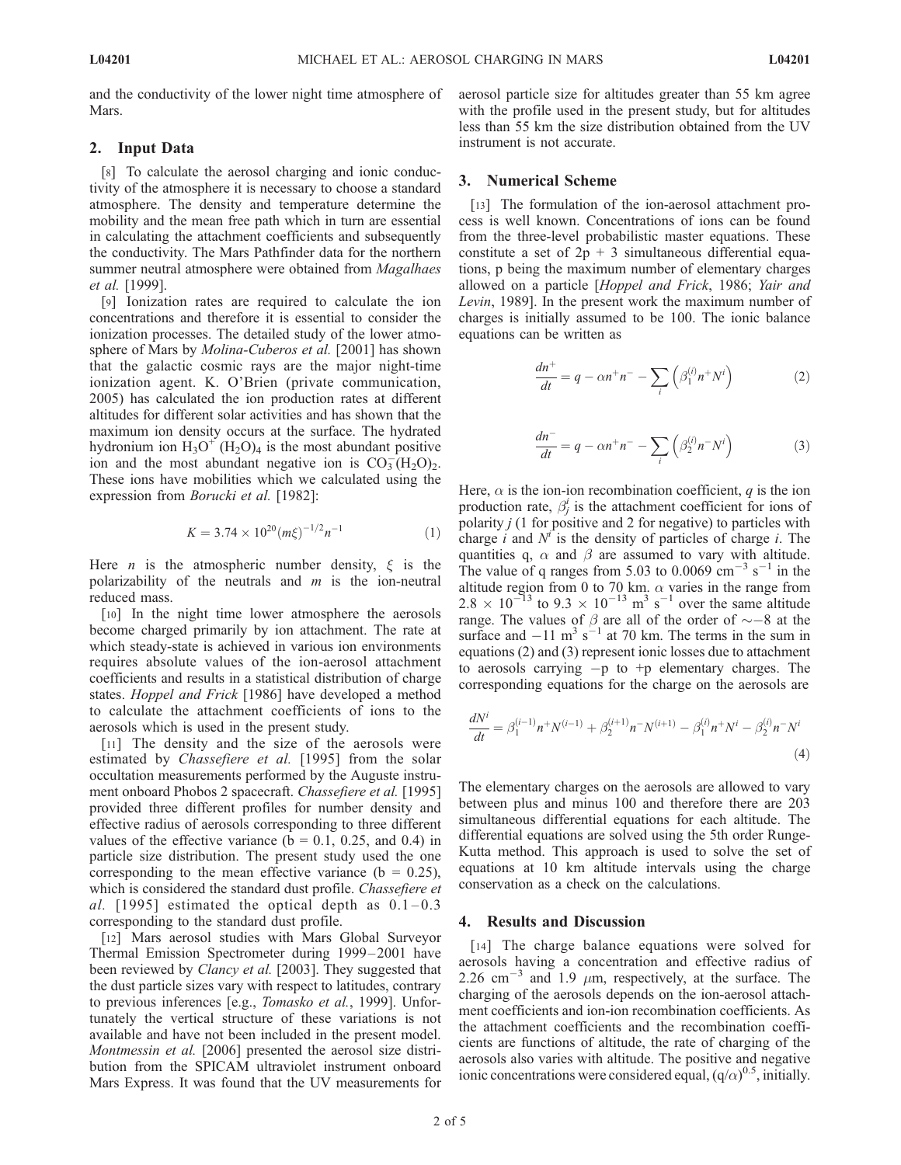and the conductivity of the lower night time atmosphere of **Mars**.

### 2. Input Data

[8] To calculate the aerosol charging and ionic conductivity of the atmosphere it is necessary to choose a standard atmosphere. The density and temperature determine the mobility and the mean free path which in turn are essential in calculating the attachment coefficients and subsequently the conductivity. The Mars Pathfinder data for the northern summer neutral atmosphere were obtained from Magalhaes et al. [1999].

[9] Ionization rates are required to calculate the ion concentrations and therefore it is essential to consider the ionization processes. The detailed study of the lower atmosphere of Mars by Molina-Cuberos et al. [2001] has shown that the galactic cosmic rays are the major night-time ionization agent. K. O'Brien (private communication, 2005) has calculated the ion production rates at different altitudes for different solar activities and has shown that the maximum ion density occurs at the surface. The hydrated hydronium ion  $H_3O^+(H_2O)_4$  is the most abundant positive ion and the most abundant negative ion is  $CO_3^- (H_2O)_2$ . These ions have mobilities which we calculated using the expression from *Borucki et al.* [1982]:

$$
K = 3.74 \times 10^{20} (m\xi)^{-1/2} n^{-1}
$$
 (1)

Here *n* is the atmospheric number density,  $\xi$  is the polarizability of the neutrals and  $m$  is the ion-neutral reduced mass.

[10] In the night time lower atmosphere the aerosols become charged primarily by ion attachment. The rate at which steady-state is achieved in various ion environments requires absolute values of the ion-aerosol attachment coefficients and results in a statistical distribution of charge states. Hoppel and Frick [1986] have developed a method to calculate the attachment coefficients of ions to the aerosols which is used in the present study.

[11] The density and the size of the aerosols were estimated by Chassefiere et al. [1995] from the solar occultation measurements performed by the Auguste instrument onboard Phobos 2 spacecraft. Chassefiere et al. [1995] provided three different profiles for number density and effective radius of aerosols corresponding to three different values of the effective variance ( $b = 0.1, 0.25,$  and 0.4) in particle size distribution. The present study used the one corresponding to the mean effective variance ( $b = 0.25$ ), which is considered the standard dust profile. Chassefiere et al. [1995] estimated the optical depth as  $0.1-0.3$ corresponding to the standard dust profile.

[12] Mars aerosol studies with Mars Global Surveyor Thermal Emission Spectrometer during 1999-2001 have been reviewed by *Clancy et al.* [2003]. They suggested that the dust particle sizes vary with respect to latitudes, contrary to previous inferences [e.g., Tomasko et al., 1999]. Unfortunately the vertical structure of these variations is not available and have not been included in the present model. Montmessin et al. [2006] presented the aerosol size distribution from the SPICAM ultraviolet instrument onboard Mars Express. It was found that the UV measurements for aerosol particle size for altitudes greater than 55 km agree with the profile used in the present study, but for altitudes less than 55 km the size distribution obtained from the UV instrument is not accurate.

### 3. Numerical Scheme

[13] The formulation of the ion-aerosol attachment process is well known. Concentrations of ions can be found from the three-level probabilistic master equations. These constitute a set of  $2p + 3$  simultaneous differential equations, p being the maximum number of elementary charges allowed on a particle [Hoppel and Frick, 1986; Yair and Levin, 1989]. In the present work the maximum number of charges is initially assumed to be 100. The ionic balance equations can be written as

$$
\frac{dn^+}{dt} = q - \alpha n^+ n^- - \sum_i \left( \beta_1^{(i)} n^+ N^i \right) \tag{2}
$$

$$
\frac{dn^{-}}{dt} = q - \alpha n^{+} n^{-} - \sum_{i} \left( \beta_2^{(i)} n^{-} N^{i} \right)
$$
 (3)

Here,  $\alpha$  is the ion-ion recombination coefficient, q is the ion production rate,  $\beta_j^i$  is the attachment coefficient for ions of polarity  $j$  (1 for positive and 2 for negative) to particles with charge i and  $N<sup>i</sup>$  is the density of particles of charge i. The quantities q,  $\alpha$  and  $\beta$  are assumed to vary with altitude. The value of q ranges from 5.03 to 0.0069  $\text{cm}^{-3}$  s<sup>-1</sup> in the altitude region from 0 to 70 km.  $\alpha$  varies in the range from  $2.8 \times 10^{-13}$  to  $9.3 \times 10^{-13}$  m<sup>3</sup> s<sup>-1</sup> over the same altitude range. The values of  $\beta$  are all of the order of  $\sim$  -8 at the surface and  $-11 \text{ m}^3 \text{ s}^{-1}$  at 70 km. The terms in the sum in equations (2) and (3) represent ionic losses due to attachment to aerosols carrying  $-p$  to  $+p$  elementary charges. The corresponding equations for the charge on the aerosols are

$$
\frac{dN^i}{dt} = \beta_1^{(i-1)}n^+N^{(i-1)} + \beta_2^{(i+1)}n^-N^{(i+1)} - \beta_1^{(i)}n^+N^i - \beta_2^{(i)}n^-N^i
$$
\n(4)

The elementary charges on the aerosols are allowed to vary between plus and minus 100 and therefore there are 203 simultaneous differential equations for each altitude. The differential equations are solved using the 5th order Runge-Kutta method. This approach is used to solve the set of equations at 10 km altitude intervals using the charge conservation as a check on the calculations.

# 4. Results and Discussion

[14] The charge balance equations were solved for aerosols having a concentration and effective radius of 2.26 cm<sup>-3</sup> and 1.9  $\mu$ m, respectively, at the surface. The charging of the aerosols depends on the ion-aerosol attachment coefficients and ion-ion recombination coefficients. As the attachment coefficients and the recombination coefficients are functions of altitude, the rate of charging of the aerosols also varies with altitude. The positive and negative ionic concentrations were considered equal,  $(q/\alpha)^{0.5}$ , initially.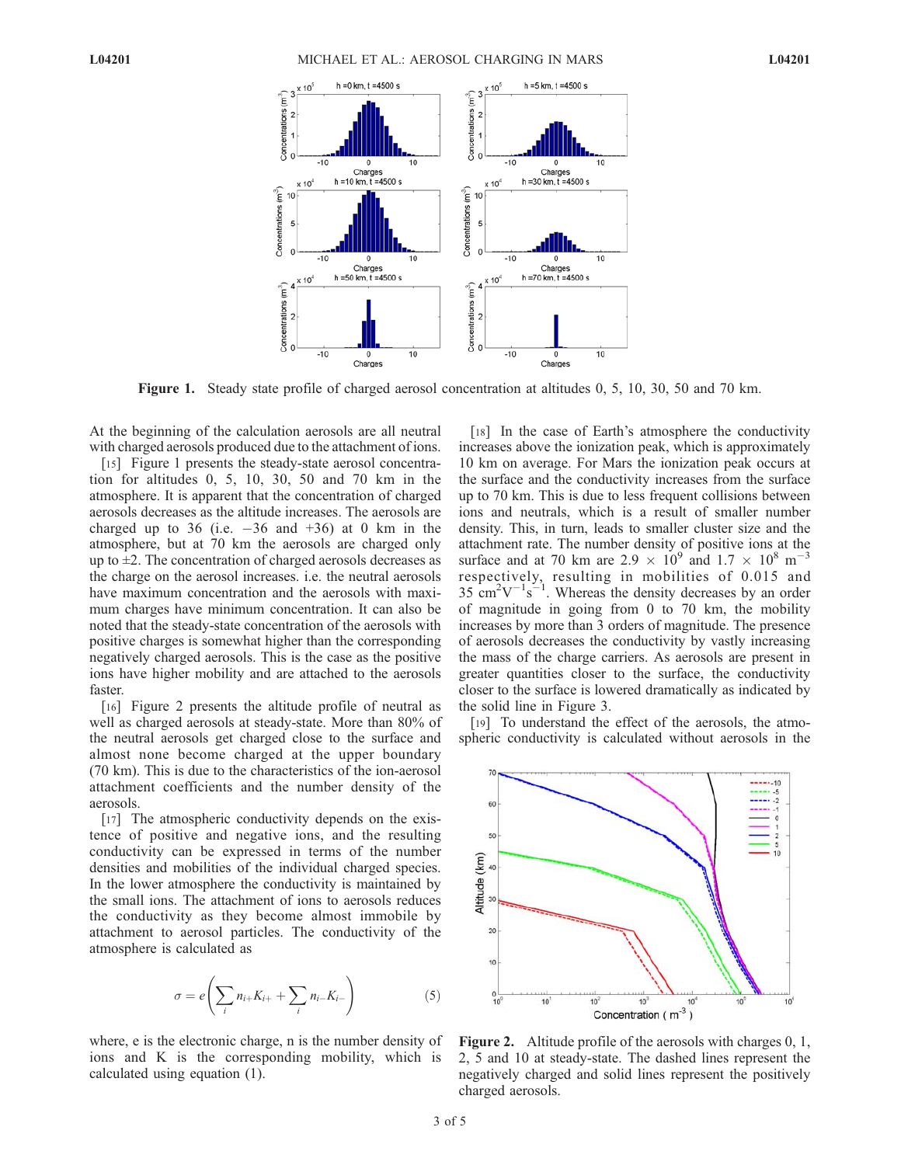

Figure 1. Steady state profile of charged aerosol concentration at altitudes 0, 5, 10, 30, 50 and 70 km.

At the beginning of the calculation aerosols are all neutral with charged aerosols produced due to the attachment of ions.

[15] Figure 1 presents the steady-state aerosol concentration for altitudes 0, 5, 10, 30, 50 and 70 km in the atmosphere. It is apparent that the concentration of charged aerosols decreases as the altitude increases. The aerosols are charged up to  $36$  (i.e.  $-36$  and  $+36$ ) at 0 km in the atmosphere, but at 70 km the aerosols are charged only up to  $\pm 2$ . The concentration of charged aerosols decreases as the charge on the aerosol increases. i.e. the neutral aerosols have maximum concentration and the aerosols with maximum charges have minimum concentration. It can also be noted that the steady-state concentration of the aerosols with positive charges is somewhat higher than the corresponding negatively charged aerosols. This is the case as the positive ions have higher mobility and are attached to the aerosols faster.

[16] Figure 2 presents the altitude profile of neutral as well as charged aerosols at steady-state. More than 80% of the neutral aerosols get charged close to the surface and almost none become charged at the upper boundary (70 km). This is due to the characteristics of the ion-aerosol attachment coefficients and the number density of the aerosols.

[17] The atmospheric conductivity depends on the existence of positive and negative ions, and the resulting conductivity can be expressed in terms of the number densities and mobilities of the individual charged species. In the lower atmosphere the conductivity is maintained by the small ions. The attachment of ions to aerosols reduces the conductivity as they become almost immobile by attachment to aerosol particles. The conductivity of the atmosphere is calculated as

$$
\sigma = e\left(\sum_{i} n_{i+}K_{i+} + \sum_{i} n_{i-}K_{i-}\right) \tag{5}
$$

where, e is the electronic charge, n is the number density of ions and K is the corresponding mobility, which is calculated using equation (1).

[18] In the case of Earth's atmosphere the conductivity increases above the ionization peak, which is approximately 10 km on average. For Mars the ionization peak occurs at the surface and the conductivity increases from the surface up to 70 km. This is due to less frequent collisions between ions and neutrals, which is a result of smaller number density. This, in turn, leads to smaller cluster size and the attachment rate. The number density of positive ions at the surface and at 70 km are  $2.9 \times 10^9$  and  $1.7 \times 10^8$  m<sup>-1</sup> 3 respectively, resulting in mobilities of 0.015 and  $35 \text{ cm}^2\text{V}^{-1}\text{s}^{-1}$ . Whereas the density decreases by an order of magnitude in going from 0 to 70 km, the mobility increases by more than 3 orders of magnitude. The presence of aerosols decreases the conductivity by vastly increasing the mass of the charge carriers. As aerosols are present in greater quantities closer to the surface, the conductivity closer to the surface is lowered dramatically as indicated by the solid line in Figure 3.

[19] To understand the effect of the aerosols, the atmospheric conductivity is calculated without aerosols in the



Figure 2. Altitude profile of the aerosols with charges 0, 1, 2, 5 and 10 at steady-state. The dashed lines represent the negatively charged and solid lines represent the positively charged aerosols.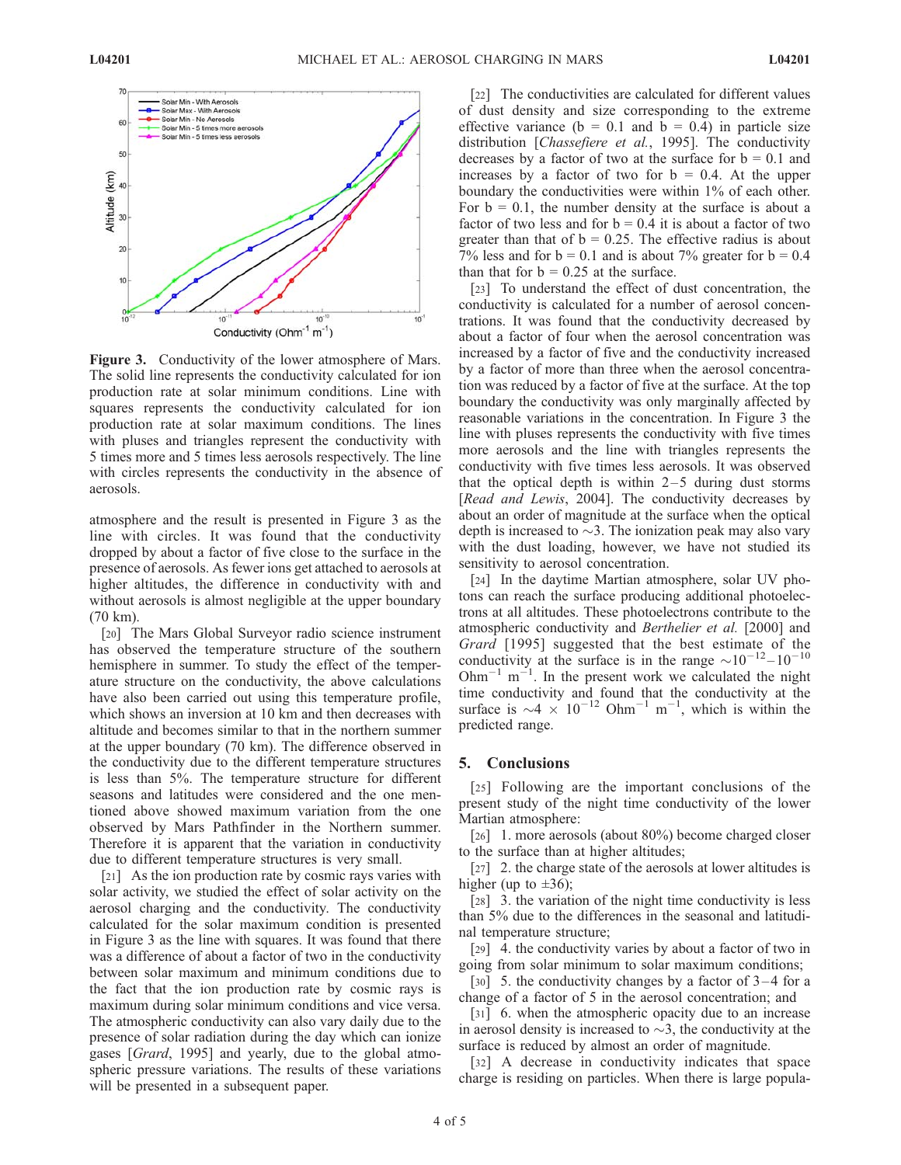

Figure 3. Conductivity of the lower atmosphere of Mars. The solid line represents the conductivity calculated for ion production rate at solar minimum conditions. Line with squares represents the conductivity calculated for ion production rate at solar maximum conditions. The lines with pluses and triangles represent the conductivity with 5 times more and 5 times less aerosols respectively. The line with circles represents the conductivity in the absence of aerosols.

atmosphere and the result is presented in Figure 3 as the line with circles. It was found that the conductivity dropped by about a factor of five close to the surface in the presence of aerosols. As fewer ions get attached to aerosols at higher altitudes, the difference in conductivity with and without aerosols is almost negligible at the upper boundary (70 km).

[20] The Mars Global Surveyor radio science instrument has observed the temperature structure of the southern hemisphere in summer. To study the effect of the temperature structure on the conductivity, the above calculations have also been carried out using this temperature profile, which shows an inversion at 10 km and then decreases with altitude and becomes similar to that in the northern summer at the upper boundary (70 km). The difference observed in the conductivity due to the different temperature structures is less than 5%. The temperature structure for different seasons and latitudes were considered and the one mentioned above showed maximum variation from the one observed by Mars Pathfinder in the Northern summer. Therefore it is apparent that the variation in conductivity due to different temperature structures is very small.

[21] As the ion production rate by cosmic rays varies with solar activity, we studied the effect of solar activity on the aerosol charging and the conductivity. The conductivity calculated for the solar maximum condition is presented in Figure 3 as the line with squares. It was found that there was a difference of about a factor of two in the conductivity between solar maximum and minimum conditions due to the fact that the ion production rate by cosmic rays is maximum during solar minimum conditions and vice versa. The atmospheric conductivity can also vary daily due to the presence of solar radiation during the day which can ionize gases [Grard, 1995] and yearly, due to the global atmospheric pressure variations. The results of these variations will be presented in a subsequent paper.

[22] The conductivities are calculated for different values of dust density and size corresponding to the extreme effective variance ( $b = 0.1$  and  $b = 0.4$ ) in particle size distribution [Chassefiere et al., 1995]. The conductivity decreases by a factor of two at the surface for  $b = 0.1$  and increases by a factor of two for  $b = 0.4$ . At the upper boundary the conductivities were within 1% of each other. For  $b = 0.1$ , the number density at the surface is about a factor of two less and for  $b = 0.4$  it is about a factor of two greater than that of  $b = 0.25$ . The effective radius is about 7% less and for  $b = 0.1$  and is about 7% greater for  $b = 0.4$ than that for  $b = 0.25$  at the surface.

[23] To understand the effect of dust concentration, the conductivity is calculated for a number of aerosol concentrations. It was found that the conductivity decreased by about a factor of four when the aerosol concentration was increased by a factor of five and the conductivity increased by a factor of more than three when the aerosol concentration was reduced by a factor of five at the surface. At the top boundary the conductivity was only marginally affected by reasonable variations in the concentration. In Figure 3 the line with pluses represents the conductivity with five times more aerosols and the line with triangles represents the conductivity with five times less aerosols. It was observed that the optical depth is within  $2-5$  during dust storms [Read and Lewis, 2004]. The conductivity decreases by about an order of magnitude at the surface when the optical depth is increased to  $\sim$ 3. The ionization peak may also vary with the dust loading, however, we have not studied its sensitivity to aerosol concentration.

[24] In the daytime Martian atmosphere, solar UV photons can reach the surface producing additional photoelectrons at all altitudes. These photoelectrons contribute to the atmospheric conductivity and Berthelier et al. [2000] and Grard [1995] suggested that the best estimate of the conductivity at the surface is in the range  $\sim 10^{-12} - 10^{-10}$  $Ohm^{-1}$  m<sup>-1</sup>. In the present work we calculated the night time conductivity and found that the conductivity at the surface is  $\sim$  4  $\times$  10<sup>-12</sup> Ohm<sup>-1</sup> m<sup>-1</sup>, which is within the predicted range.

#### 5. Conclusions

[25] Following are the important conclusions of the present study of the night time conductivity of the lower Martian atmosphere:

[26] 1. more aerosols (about 80%) become charged closer to the surface than at higher altitudes;

[27] 2. the charge state of the aerosols at lower altitudes is higher (up to  $\pm 36$ );

[28] 3. the variation of the night time conductivity is less than 5% due to the differences in the seasonal and latitudinal temperature structure;

[29] 4. the conductivity varies by about a factor of two in going from solar minimum to solar maximum conditions;

[30] 5. the conductivity changes by a factor of  $3-4$  for a change of a factor of 5 in the aerosol concentration; and

[31] 6. when the atmospheric opacity due to an increase in aerosol density is increased to  $\sim$ 3, the conductivity at the surface is reduced by almost an order of magnitude.

[32] A decrease in conductivity indicates that space charge is residing on particles. When there is large popula